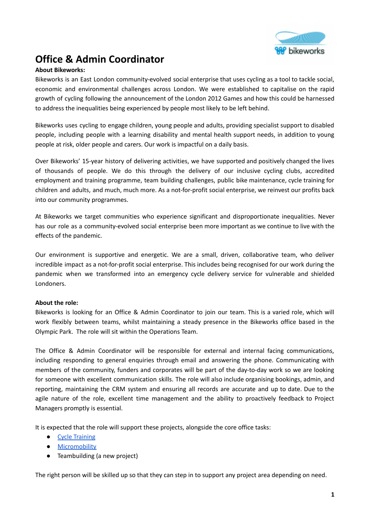

# **Office & Admin Coordinator**

### **About Bikeworks:**

Bikeworks is an East London community-evolved social enterprise that uses cycling as a tool to tackle social, economic and environmental challenges across London. We were established to capitalise on the rapid growth of cycling following the announcement of the London 2012 Games and how this could be harnessed to address the inequalities being experienced by people most likely to be left behind.

Bikeworks uses cycling to engage children, young people and adults, providing specialist support to disabled people, including people with a learning disability and mental health support needs, in addition to young people at risk, older people and carers. Our work is impactful on a daily basis.

Over Bikeworks' 15-year history of delivering activities, we have supported and positively changed the lives of thousands of people. We do this through the delivery of our inclusive cycling clubs, accredited employment and training programme, team building challenges, public bike maintenance, cycle training for children and adults, and much, much more. As a not-for-profit social enterprise, we reinvest our profits back into our community programmes.

At Bikeworks we target communities who experience significant and disproportionate inequalities. Never has our role as a community-evolved social enterprise been more important as we continue to live with the effects of the pandemic.

Our environment is supportive and energetic. We are a small, driven, collaborative team, who deliver incredible impact as a not-for-profit social enterprise. This includes being recognised for our work during the pandemic when we transformed into an emergency cycle delivery service for vulnerable and shielded Londoners.

### **About the role:**

Bikeworks is looking for an Office & Admin Coordinator to join our team. This is a varied role, which will work flexibly between teams, whilst maintaining a steady presence in the Bikeworks office based in the Olympic Park. The role will sit within the Operations Team.

The Office & Admin Coordinator will be responsible for external and internal facing communications, including responding to general enquiries through email and answering the phone. Communicating with members of the community, funders and corporates will be part of the day-to-day work so we are looking for someone with excellent communication skills. The role will also include organising bookings, admin, and reporting, maintaining the CRM system and ensuring all records are accurate and up to date. Due to the agile nature of the role, excellent time management and the ability to proactively feedback to Project Managers promptly is essential.

It is expected that the role will support these projects, alongside the core office tasks:

- Cycle [Training](https://www.bikeworks.org.uk/cycle-training/cycle-training/)
- **•** [Micromobility](https://www.bikeworks.org.uk/what-is-micromobility/)
- Teambuilding (a new project)

The right person will be skilled up so that they can step in to support any project area depending on need.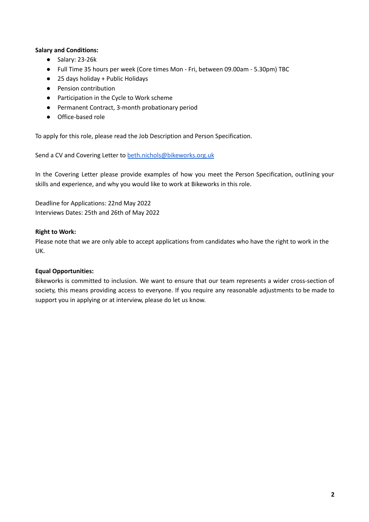### **Salary and Conditions:**

- Salary: 23-26k
- Full Time 35 hours per week (Core times Mon Fri, between 09.00am 5.30pm) TBC
- 25 days holiday + Public Holidays
- Pension contribution
- Participation in the Cycle to Work scheme
- Permanent Contract, 3-month probationary period
- Office-based role

To apply for this role, please read the Job Description and Person Specification.

Send a CV and Covering Letter to [beth.nichols@bikeworks.org.uk](mailto:beth.nichols@bikeworks.org.uk)

In the Covering Letter please provide examples of how you meet the Person Specification, outlining your skills and experience, and why you would like to work at Bikeworks in this role.

Deadline for Applications: 22nd May 2022 Interviews Dates: 25th and 26th of May 2022

### **Right to Work:**

Please note that we are only able to accept applications from candidates who have the right to work in the UK.

### **Equal Opportunities:**

Bikeworks is committed to inclusion. We want to ensure that our team represents a wider cross-section of society, this means providing access to everyone. If you require any reasonable adjustments to be made to support you in applying or at interview, please do let us know.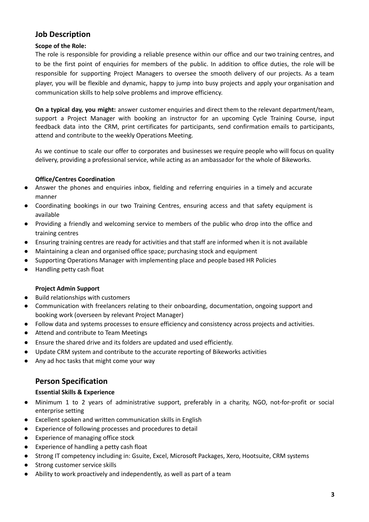## **Job Description**

### **Scope of the Role:**

The role is responsible for providing a reliable presence within our office and our two training centres, and to be the first point of enquiries for members of the public. In addition to office duties, the role will be responsible for supporting Project Managers to oversee the smooth delivery of our projects. As a team player, you will be flexible and dynamic, happy to jump into busy projects and apply your organisation and communication skills to help solve problems and improve efficiency.

**On a typical day, you might:** answer customer enquiries and direct them to the relevant department/team, support a Project Manager with booking an instructor for an upcoming Cycle Training Course, input feedback data into the CRM, print certificates for participants, send confirmation emails to participants, attend and contribute to the weekly Operations Meeting.

As we continue to scale our offer to corporates and businesses we require people who will focus on quality delivery, providing a professional service, while acting as an ambassador for the whole of Bikeworks.

### **Office/Centres Coordination**

- Answer the phones and enquiries inbox, fielding and referring enquiries in a timely and accurate manner
- Coordinating bookings in our two Training Centres, ensuring access and that safety equipment is available
- Providing a friendly and welcoming service to members of the public who drop into the office and training centres
- Ensuring training centres are ready for activities and that staff are informed when it is not available
- Maintaining a clean and organised office space; purchasing stock and equipment
- Supporting Operations Manager with implementing place and people based HR Policies
- Handling petty cash float

### **Project Admin Support**

- Build relationships with customers
- Communication with freelancers relating to their onboarding, documentation, ongoing support and booking work (overseen by relevant Project Manager)
- Follow data and systems processes to ensure efficiency and consistency across projects and activities.
- Attend and contribute to Team Meetings
- Ensure the shared drive and its folders are updated and used efficiently.
- Update CRM system and contribute to the accurate reporting of Bikeworks activities
- Any ad hoc tasks that might come your way

### **Person Specification**

### **Essential Skills & Experience**

- Minimum 1 to 2 years of administrative support, preferably in a charity, NGO, not-for-profit or social enterprise setting
- Excellent spoken and written communication skills in English
- Experience of following processes and procedures to detail
- Experience of managing office stock
- Experience of handling a petty cash float
- Strong IT competency including in: Gsuite, Excel, Microsoft Packages, Xero, Hootsuite, CRM systems
- Strong customer service skills
- Ability to work proactively and independently, as well as part of a team